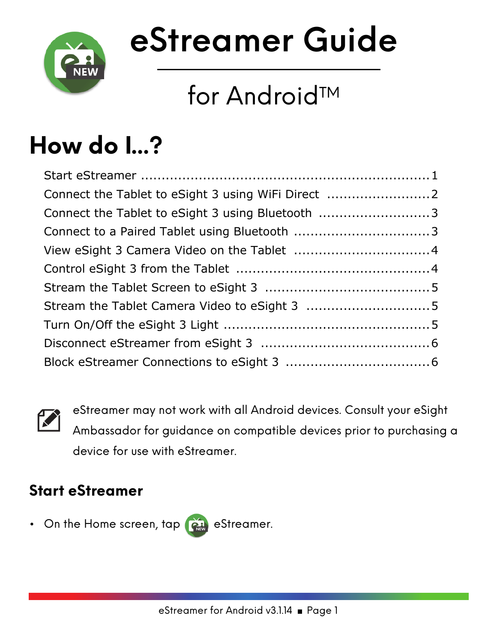

# **eStreamer Guide**

# for Android<sup>™</sup>

# **How do I...?**

| Connect the Tablet to eSight 3 using Bluetooth 3 |
|--------------------------------------------------|
|                                                  |
|                                                  |
|                                                  |
|                                                  |
|                                                  |
|                                                  |
|                                                  |
|                                                  |
|                                                  |



eStreamer may not work with all Android devices. Consult your eSight Ambassador for guidance on compatible devices prior to purchasing a device for use with eStreamer.

# <span id="page-0-0"></span>**Start eStreamer**

• On the Home screen,  $\tan \theta$  eStreamer.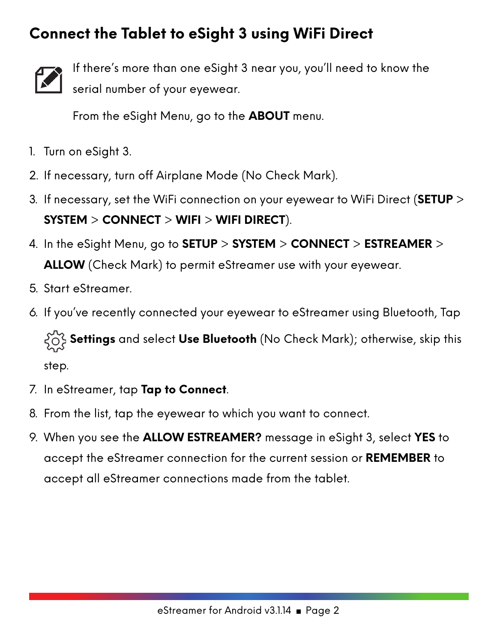### <span id="page-1-0"></span>**Connect the Tablet to eSight 3 using WiFi Direct**



If there's more than one eSight 3 near you, you'll need to know the serial number of your eyewear.

From the eSight Menu, go to the **ABOUT** menu.

- 1. Turn on eSight 3.
- 2. If necessary, turn off Airplane Mode (No Check Mark).
- 3. If necessary, set the WiFi connection on your eyewear to WiFi Direct (**SETUP** > **SYSTEM** > **CONNECT** > **WIFI** > **WIFI DIRECT**).
- 4. In the eSight Menu, go to **SETUP** > **SYSTEM** > **CONNECT** > **ESTREAMER** > **ALLOW** (Check Mark) to permit eStreamer use with your eyewear.
- 5. Start eStreamer.
- 6. If you've recently connected your eyewear to eStreamer using Bluetooth, Tap

 $\{\bigcirc\}$  **Settings** and select **Use Bluetooth** (No Check Mark); otherwise, skip this

step.

- 7. In eStreamer, tap **Tap to Connect**.
- 8. From the list, tap the eyewear to which you want to connect.
- 9. When you see the **ALLOW ESTREAMER?** message in eSight 3, select **YES** to accept the eStreamer connection for the current session or **REMEMBER** to accept all eStreamer connections made from the tablet.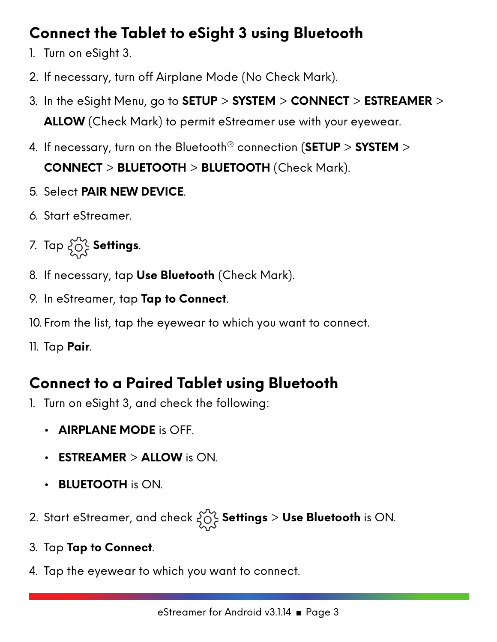# <span id="page-2-0"></span>**Connect the Tablet to eSight 3 using Bluetooth**

- 1. Turn on eSight 3.
- 2. If necessary, turn off Airplane Mode (No Check Mark).
- 3. In the eSight Menu, go to **SETUP** > **SYSTEM** > **CONNECT** > **ESTREAMER** > **ALLOW** (Check Mark) to permit eStreamer use with your eyewear.
- 4. If necessary, turn on the Bluetooth® connection (**SETUP** > **SYSTEM** > **CONNECT** > **BLUETOOTH** > **BLUETOOTH** (Check Mark).
- 5. Select **PAIR NEW DEVICE**.
- 6. Start eStreamer.
- 7. Tap  $\left\{\bigcirc\right\}$  Settings.
- 8. If necessary, tap **Use Bluetooth** (Check Mark).
- 9. In eStreamer, tap **Tap to Connect**.
- 10. From the list, tap the eyewear to which you want to connect.
- 11. Tap **Pair**.

# <span id="page-2-1"></span>**Connect to a Paired Tablet using Bluetooth**

- 1. Turn on eSight 3, and check the following:
	- **AIRPLANE MODE** is OFF.
	- **ESTREAMER** > **ALLOW** is ON.
	- **BLUETOOTH** is ON.
- 2. Start eStreamer, and check **Settings** > **Use Bluetooth** is ON.
- 3. Tap **Tap to Connect**.
- 4. Tap the eyewear to which you want to connect.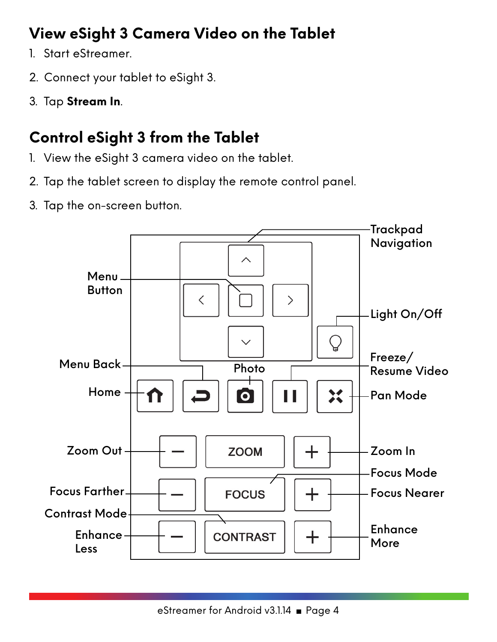# <span id="page-3-0"></span>**View eSight 3 Camera Video on the Tablet**

- 1. Start eStreamer.
- 2. Connect your tablet to eSight 3.
- 3. Tap **Stream In**.

# <span id="page-3-1"></span>**Control eSight 3 from the Tablet**

- 1. View the eSight 3 camera video on the tablet.
- 2. Tap the tablet screen to display the remote control panel.
- 3. Tap the on-screen button.

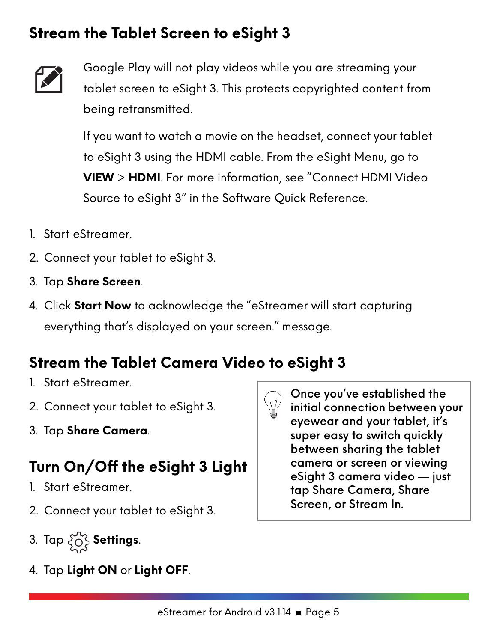### <span id="page-4-0"></span>**Stream the Tablet Screen to eSight 3**



Google Play will not play videos while you are streaming your tablet screen to eSight 3. This protects copyrighted content from being retransmitted.

If you want to watch a movie on the headset, connect your tablet to eSight 3 using the HDMI cable. From the eSight Menu, go to **VIEW** > **HDMI**. For more information, see "Connect HDMI Video Source to eSight 3" in the Software Quick Reference.

- 1. Start eStreamer.
- 2. Connect your tablet to eSight 3.
- 3. Tap **Share Screen**.
- 4. Click **Start Now** to acknowledge the "eStreamer will start capturing everything that's displayed on your screen." message.

#### <span id="page-4-1"></span>**Stream the Tablet Camera Video to eSight 3**

- 1. Start eStreamer.
- 2. Connect your tablet to eSight 3.
- 3. Tap **Share Camera**.

### <span id="page-4-2"></span>**Turn On/Off the eSight 3 Light**

- 1. Start eStreamer.
- 2. Connect your tablet to eSight 3.
- 3. Tap **Settings**.
- 4. Tap **Light ON** or **Light OFF**.



Once you've established the initial connection between your eyewear and your tablet, it's super easy to switch quickly between sharing the tablet camera or screen or viewing eSight 3 camera video — just tap Share Camera, Share Screen, or Stream In.